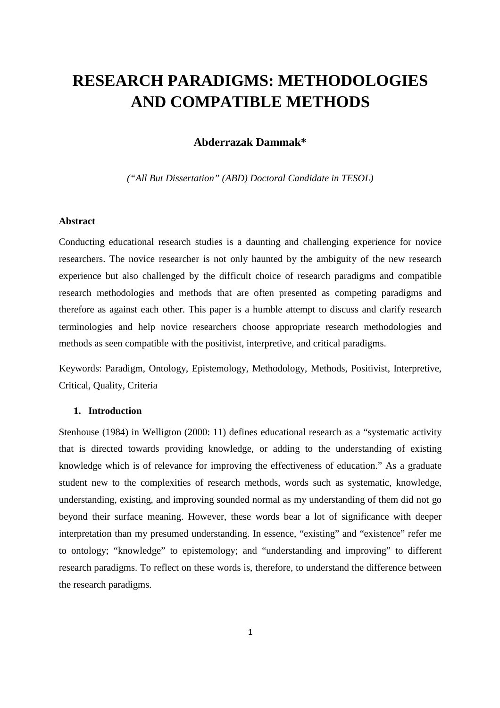# **RESEARCH PARADIGMS: METHODOLOGIES AND COMPATIBLE METHODS**

# **Abderrazak Dammak\***

*("All But Dissertation" (ABD) Doctoral Candidate in TESOL)* 

## **Abstract**

Conducting educational research studies is a daunting and challenging experience for novice researchers. The novice researcher is not only haunted by the ambiguity of the new research experience but also challenged by the difficult choice of research paradigms and compatible research methodologies and methods that are often presented as competing paradigms and therefore as against each other. This paper is a humble attempt to discuss and clarify research terminologies and help novice researchers choose appropriate research methodologies and methods as seen compatible with the positivist, interpretive, and critical paradigms.

Keywords: Paradigm, Ontology, Epistemology, Methodology, Methods, Positivist, Interpretive, Critical, Quality, Criteria

#### **1. Introduction**

Stenhouse (1984) in Welligton (2000: 11) defines educational research as a "systematic activity that is directed towards providing knowledge, or adding to the understanding of existing knowledge which is of relevance for improving the effectiveness of education." As a graduate student new to the complexities of research methods, words such as systematic, knowledge, understanding, existing, and improving sounded normal as my understanding of them did not go beyond their surface meaning. However, these words bear a lot of significance with deeper interpretation than my presumed understanding. In essence, "existing" and "existence" refer me to ontology; "knowledge" to epistemology; and "understanding and improving" to different research paradigms. To reflect on these words is, therefore, to understand the difference between the research paradigms.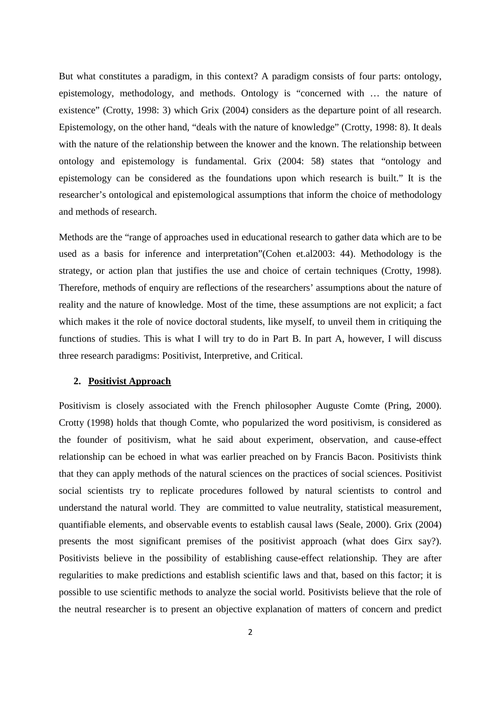But what constitutes a paradigm, in this context? A paradigm consists of four parts: ontology, epistemology, methodology, and methods. Ontology is "concerned with … the nature of existence" (Crotty, 1998: 3) which Grix (2004) considers as the departure point of all research. Epistemology, on the other hand, "deals with the nature of knowledge" (Crotty, 1998: 8). It deals with the nature of the relationship between the knower and the known. The relationship between ontology and epistemology is fundamental. Grix (2004: 58) states that "ontology and epistemology can be considered as the foundations upon which research is built." It is the researcher's ontological and epistemological assumptions that inform the choice of methodology and methods of research.

Methods are the "range of approaches used in educational research to gather data which are to be used as a basis for inference and interpretation"(Cohen et.al2003: 44). Methodology is the strategy, or action plan that justifies the use and choice of certain techniques (Crotty, 1998). Therefore, methods of enquiry are reflections of the researchers' assumptions about the nature of reality and the nature of knowledge. Most of the time, these assumptions are not explicit; a fact which makes it the role of novice doctoral students, like myself, to unveil them in critiquing the functions of studies. This is what I will try to do in Part B. In part A, however, I will discuss three research paradigms: Positivist, Interpretive, and Critical.

# **2. Positivist Approach**

Positivism is closely associated with the French philosopher Auguste Comte (Pring, 2000). Crotty (1998) holds that though Comte, who popularized the word positivism, is considered as the founder of positivism, what he said about experiment, observation, and cause-effect relationship can be echoed in what was earlier preached on by Francis Bacon. Positivists think that they can apply methods of the natural sciences on the practices of social sciences. Positivist social scientists try to replicate procedures followed by natural scientists to control and understand the natural world. They are committed to value neutrality, statistical measurement, quantifiable elements, and observable events to establish causal laws (Seale, 2000). Grix (2004) presents the most significant premises of the positivist approach (what does Girx say?). Positivists believe in the possibility of establishing cause-effect relationship. They are after regularities to make predictions and establish scientific laws and that, based on this factor; it is possible to use scientific methods to analyze the social world. Positivists believe that the role of the neutral researcher is to present an objective explanation of matters of concern and predict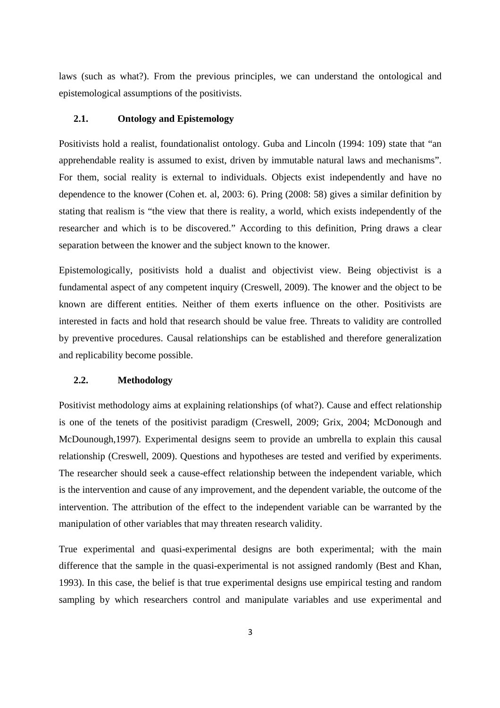laws (such as what?). From the previous principles, we can understand the ontological and epistemological assumptions of the positivists.

# **2.1. Ontology and Epistemology**

Positivists hold a realist, foundationalist ontology. Guba and Lincoln (1994: 109) state that "an apprehendable reality is assumed to exist, driven by immutable natural laws and mechanisms". For them, social reality is external to individuals. Objects exist independently and have no dependence to the knower (Cohen et. al, 2003: 6). Pring (2008: 58) gives a similar definition by stating that realism is "the view that there is reality, a world, which exists independently of the researcher and which is to be discovered." According to this definition, Pring draws a clear separation between the knower and the subject known to the knower.

Epistemologically, positivists hold a dualist and objectivist view. Being objectivist is a fundamental aspect of any competent inquiry (Creswell, 2009). The knower and the object to be known are different entities. Neither of them exerts influence on the other. Positivists are interested in facts and hold that research should be value free. Threats to validity are controlled by preventive procedures. Causal relationships can be established and therefore generalization and replicability become possible.

### **2.2. Methodology**

Positivist methodology aims at explaining relationships (of what?). Cause and effect relationship is one of the tenets of the positivist paradigm (Creswell, 2009; Grix, 2004; McDonough and McDounough,1997). Experimental designs seem to provide an umbrella to explain this causal relationship (Creswell, 2009). Questions and hypotheses are tested and verified by experiments. The researcher should seek a cause-effect relationship between the independent variable, which is the intervention and cause of any improvement, and the dependent variable, the outcome of the intervention. The attribution of the effect to the independent variable can be warranted by the manipulation of other variables that may threaten research validity.

True experimental and quasi-experimental designs are both experimental; with the main difference that the sample in the quasi-experimental is not assigned randomly (Best and Khan, 1993). In this case, the belief is that true experimental designs use empirical testing and random sampling by which researchers control and manipulate variables and use experimental and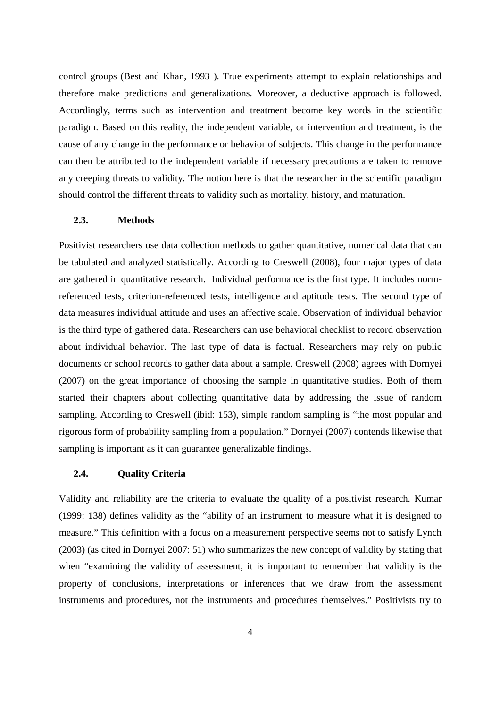control groups (Best and Khan, 1993 ). True experiments attempt to explain relationships and therefore make predictions and generalizations. Moreover, a deductive approach is followed. Accordingly, terms such as intervention and treatment become key words in the scientific paradigm. Based on this reality, the independent variable, or intervention and treatment, is the cause of any change in the performance or behavior of subjects. This change in the performance can then be attributed to the independent variable if necessary precautions are taken to remove any creeping threats to validity. The notion here is that the researcher in the scientific paradigm should control the different threats to validity such as mortality, history, and maturation.

# **2.3. Methods**

Positivist researchers use data collection methods to gather quantitative, numerical data that can be tabulated and analyzed statistically. According to Creswell (2008), four major types of data are gathered in quantitative research. Individual performance is the first type. It includes normreferenced tests, criterion-referenced tests, intelligence and aptitude tests. The second type of data measures individual attitude and uses an affective scale. Observation of individual behavior is the third type of gathered data. Researchers can use behavioral checklist to record observation about individual behavior. The last type of data is factual. Researchers may rely on public documents or school records to gather data about a sample. Creswell (2008) agrees with Dornyei (2007) on the great importance of choosing the sample in quantitative studies. Both of them started their chapters about collecting quantitative data by addressing the issue of random sampling. According to Creswell (ibid: 153), simple random sampling is "the most popular and rigorous form of probability sampling from a population." Dornyei (2007) contends likewise that sampling is important as it can guarantee generalizable findings.

# **2.4. Quality Criteria**

Validity and reliability are the criteria to evaluate the quality of a positivist research. Kumar (1999: 138) defines validity as the "ability of an instrument to measure what it is designed to measure." This definition with a focus on a measurement perspective seems not to satisfy Lynch (2003) (as cited in Dornyei 2007: 51) who summarizes the new concept of validity by stating that when "examining the validity of assessment, it is important to remember that validity is the property of conclusions, interpretations or inferences that we draw from the assessment instruments and procedures, not the instruments and procedures themselves." Positivists try to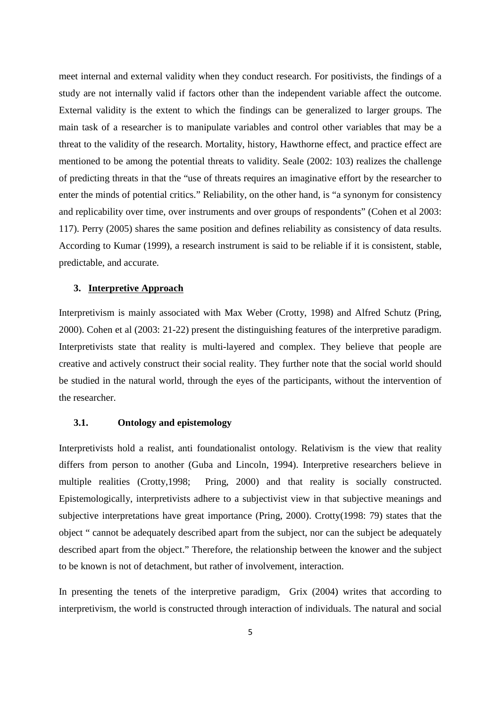meet internal and external validity when they conduct research. For positivists, the findings of a study are not internally valid if factors other than the independent variable affect the outcome. External validity is the extent to which the findings can be generalized to larger groups. The main task of a researcher is to manipulate variables and control other variables that may be a threat to the validity of the research. Mortality, history, Hawthorne effect, and practice effect are mentioned to be among the potential threats to validity. Seale (2002: 103) realizes the challenge of predicting threats in that the "use of threats requires an imaginative effort by the researcher to enter the minds of potential critics." Reliability, on the other hand, is "a synonym for consistency and replicability over time, over instruments and over groups of respondents" (Cohen et al 2003: 117). Perry (2005) shares the same position and defines reliability as consistency of data results. According to Kumar (1999), a research instrument is said to be reliable if it is consistent, stable, predictable, and accurate.

#### **3. Interpretive Approach**

Interpretivism is mainly associated with Max Weber (Crotty, 1998) and Alfred Schutz (Pring, 2000). Cohen et al (2003: 21-22) present the distinguishing features of the interpretive paradigm. Interpretivists state that reality is multi-layered and complex. They believe that people are creative and actively construct their social reality. They further note that the social world should be studied in the natural world, through the eyes of the participants, without the intervention of the researcher.

# **3.1. Ontology and epistemology**

Interpretivists hold a realist, anti foundationalist ontology. Relativism is the view that reality differs from person to another (Guba and Lincoln, 1994). Interpretive researchers believe in multiple realities (Crotty,1998; Pring, 2000) and that reality is socially constructed. Epistemologically, interpretivists adhere to a subjectivist view in that subjective meanings and subjective interpretations have great importance (Pring, 2000). Crotty(1998: 79) states that the object " cannot be adequately described apart from the subject, nor can the subject be adequately described apart from the object." Therefore, the relationship between the knower and the subject to be known is not of detachment, but rather of involvement, interaction.

In presenting the tenets of the interpretive paradigm, Grix (2004) writes that according to interpretivism, the world is constructed through interaction of individuals. The natural and social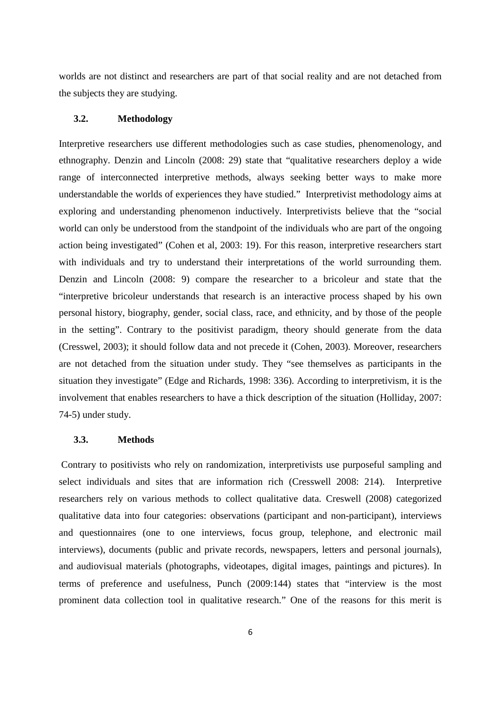worlds are not distinct and researchers are part of that social reality and are not detached from the subjects they are studying.

#### **3.2. Methodology**

Interpretive researchers use different methodologies such as case studies, phenomenology, and ethnography. Denzin and Lincoln (2008: 29) state that "qualitative researchers deploy a wide range of interconnected interpretive methods, always seeking better ways to make more understandable the worlds of experiences they have studied." Interpretivist methodology aims at exploring and understanding phenomenon inductively. Interpretivists believe that the "social world can only be understood from the standpoint of the individuals who are part of the ongoing action being investigated" (Cohen et al, 2003: 19). For this reason, interpretive researchers start with individuals and try to understand their interpretations of the world surrounding them. Denzin and Lincoln (2008: 9) compare the researcher to a bricoleur and state that the "interpretive bricoleur understands that research is an interactive process shaped by his own personal history, biography, gender, social class, race, and ethnicity, and by those of the people in the setting". Contrary to the positivist paradigm, theory should generate from the data (Cresswel, 2003); it should follow data and not precede it (Cohen, 2003). Moreover, researchers are not detached from the situation under study. They "see themselves as participants in the situation they investigate" (Edge and Richards, 1998: 336). According to interpretivism, it is the involvement that enables researchers to have a thick description of the situation (Holliday, 2007: 74-5) under study.

# **3.3. Methods**

 Contrary to positivists who rely on randomization, interpretivists use purposeful sampling and select individuals and sites that are information rich (Cresswell 2008: 214). Interpretive researchers rely on various methods to collect qualitative data. Creswell (2008) categorized qualitative data into four categories: observations (participant and non-participant), interviews and questionnaires (one to one interviews, focus group, telephone, and electronic mail interviews), documents (public and private records, newspapers, letters and personal journals), and audiovisual materials (photographs, videotapes, digital images, paintings and pictures). In terms of preference and usefulness, Punch (2009:144) states that "interview is the most prominent data collection tool in qualitative research." One of the reasons for this merit is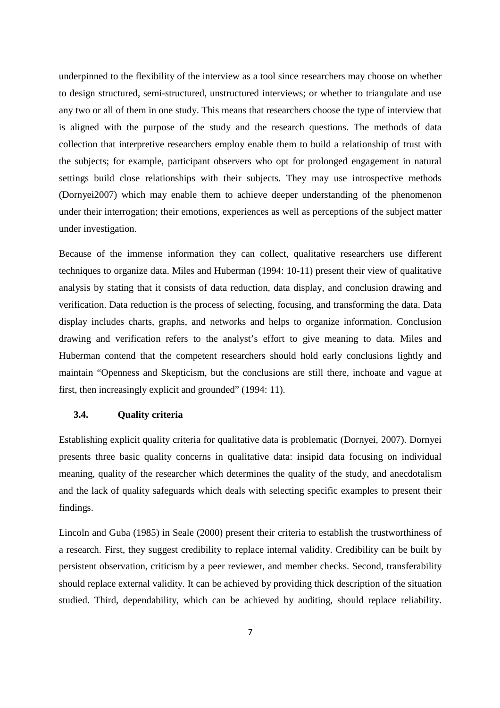underpinned to the flexibility of the interview as a tool since researchers may choose on whether to design structured, semi-structured, unstructured interviews; or whether to triangulate and use any two or all of them in one study. This means that researchers choose the type of interview that is aligned with the purpose of the study and the research questions. The methods of data collection that interpretive researchers employ enable them to build a relationship of trust with the subjects; for example, participant observers who opt for prolonged engagement in natural settings build close relationships with their subjects. They may use introspective methods (Dornyei2007) which may enable them to achieve deeper understanding of the phenomenon under their interrogation; their emotions, experiences as well as perceptions of the subject matter under investigation.

Because of the immense information they can collect, qualitative researchers use different techniques to organize data. Miles and Huberman (1994: 10-11) present their view of qualitative analysis by stating that it consists of data reduction, data display, and conclusion drawing and verification. Data reduction is the process of selecting, focusing, and transforming the data. Data display includes charts, graphs, and networks and helps to organize information. Conclusion drawing and verification refers to the analyst's effort to give meaning to data. Miles and Huberman contend that the competent researchers should hold early conclusions lightly and maintain "Openness and Skepticism, but the conclusions are still there, inchoate and vague at first, then increasingly explicit and grounded" (1994: 11).

# **3.4. Quality criteria**

Establishing explicit quality criteria for qualitative data is problematic (Dornyei, 2007). Dornyei presents three basic quality concerns in qualitative data: insipid data focusing on individual meaning, quality of the researcher which determines the quality of the study, and anecdotalism and the lack of quality safeguards which deals with selecting specific examples to present their findings.

Lincoln and Guba (1985) in Seale (2000) present their criteria to establish the trustworthiness of a research. First, they suggest credibility to replace internal validity. Credibility can be built by persistent observation, criticism by a peer reviewer, and member checks. Second, transferability should replace external validity. It can be achieved by providing thick description of the situation studied. Third, dependability, which can be achieved by auditing, should replace reliability.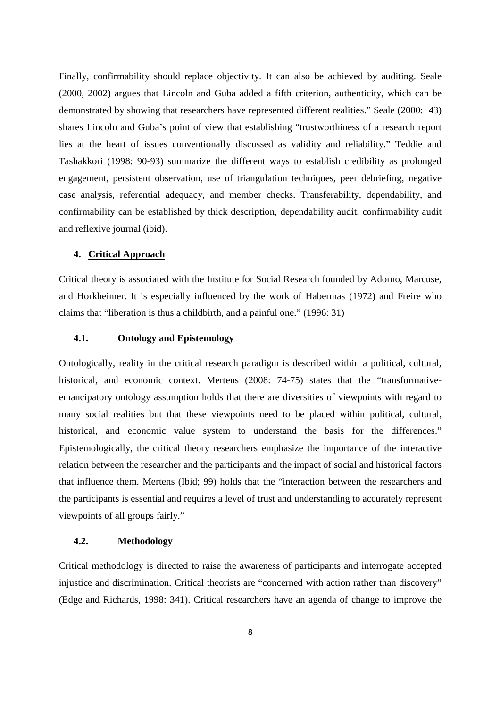Finally, confirmability should replace objectivity. It can also be achieved by auditing. Seale (2000, 2002) argues that Lincoln and Guba added a fifth criterion, authenticity, which can be demonstrated by showing that researchers have represented different realities." Seale (2000: 43) shares Lincoln and Guba's point of view that establishing "trustworthiness of a research report lies at the heart of issues conventionally discussed as validity and reliability." Teddie and Tashakkori (1998: 90-93) summarize the different ways to establish credibility as prolonged engagement, persistent observation, use of triangulation techniques, peer debriefing, negative case analysis, referential adequacy, and member checks. Transferability, dependability, and confirmability can be established by thick description, dependability audit, confirmability audit and reflexive journal (ibid).

# **4. Critical Approach**

Critical theory is associated with the Institute for Social Research founded by Adorno, Marcuse, and Horkheimer. It is especially influenced by the work of Habermas (1972) and Freire who claims that "liberation is thus a childbirth, and a painful one." (1996: 31)

# **4.1. Ontology and Epistemology**

Ontologically, reality in the critical research paradigm is described within a political, cultural, historical, and economic context. Mertens (2008: 74-75) states that the "transformativeemancipatory ontology assumption holds that there are diversities of viewpoints with regard to many social realities but that these viewpoints need to be placed within political, cultural, historical, and economic value system to understand the basis for the differences." Epistemologically, the critical theory researchers emphasize the importance of the interactive relation between the researcher and the participants and the impact of social and historical factors that influence them. Mertens (Ibid; 99) holds that the "interaction between the researchers and the participants is essential and requires a level of trust and understanding to accurately represent viewpoints of all groups fairly."

#### **4.2. Methodology**

Critical methodology is directed to raise the awareness of participants and interrogate accepted injustice and discrimination. Critical theorists are "concerned with action rather than discovery" (Edge and Richards, 1998: 341). Critical researchers have an agenda of change to improve the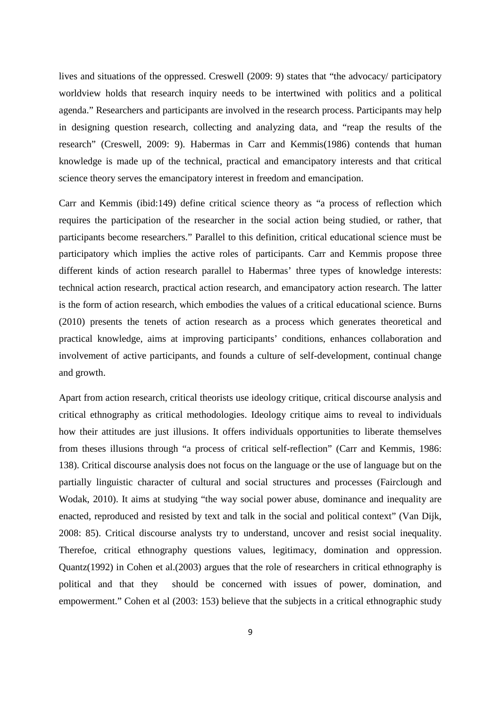lives and situations of the oppressed. Creswell (2009: 9) states that "the advocacy/ participatory worldview holds that research inquiry needs to be intertwined with politics and a political agenda." Researchers and participants are involved in the research process. Participants may help in designing question research, collecting and analyzing data, and "reap the results of the research" (Creswell, 2009: 9). Habermas in Carr and Kemmis(1986) contends that human knowledge is made up of the technical, practical and emancipatory interests and that critical science theory serves the emancipatory interest in freedom and emancipation.

Carr and Kemmis (ibid:149) define critical science theory as "a process of reflection which requires the participation of the researcher in the social action being studied, or rather, that participants become researchers." Parallel to this definition, critical educational science must be participatory which implies the active roles of participants. Carr and Kemmis propose three different kinds of action research parallel to Habermas' three types of knowledge interests: technical action research, practical action research, and emancipatory action research. The latter is the form of action research, which embodies the values of a critical educational science. Burns (2010) presents the tenets of action research as a process which generates theoretical and practical knowledge, aims at improving participants' conditions, enhances collaboration and involvement of active participants, and founds a culture of self-development, continual change and growth.

Apart from action research, critical theorists use ideology critique, critical discourse analysis and critical ethnography as critical methodologies. Ideology critique aims to reveal to individuals how their attitudes are just illusions. It offers individuals opportunities to liberate themselves from theses illusions through "a process of critical self-reflection" (Carr and Kemmis, 1986: 138). Critical discourse analysis does not focus on the language or the use of language but on the partially linguistic character of cultural and social structures and processes (Fairclough and Wodak, 2010). It aims at studying "the way social power abuse, dominance and inequality are enacted, reproduced and resisted by text and talk in the social and political context" (Van Dijk, 2008: 85). Critical discourse analysts try to understand, uncover and resist social inequality. Therefoe, critical ethnography questions values, legitimacy, domination and oppression. Quantz(1992) in Cohen et al.(2003) argues that the role of researchers in critical ethnography is political and that they should be concerned with issues of power, domination, and empowerment." Cohen et al (2003: 153) believe that the subjects in a critical ethnographic study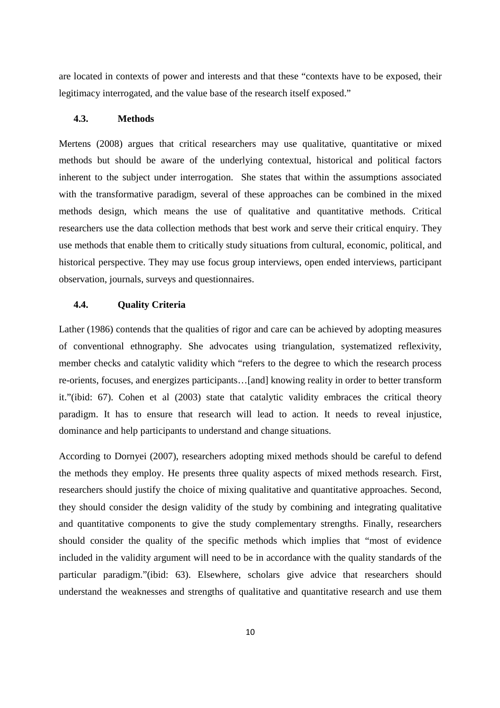are located in contexts of power and interests and that these "contexts have to be exposed, their legitimacy interrogated, and the value base of the research itself exposed."

#### **4.3. Methods**

Mertens (2008) argues that critical researchers may use qualitative, quantitative or mixed methods but should be aware of the underlying contextual, historical and political factors inherent to the subject under interrogation. She states that within the assumptions associated with the transformative paradigm, several of these approaches can be combined in the mixed methods design, which means the use of qualitative and quantitative methods. Critical researchers use the data collection methods that best work and serve their critical enquiry. They use methods that enable them to critically study situations from cultural, economic, political, and historical perspective. They may use focus group interviews, open ended interviews, participant observation, journals, surveys and questionnaires.

## **4.4. Quality Criteria**

Lather (1986) contends that the qualities of rigor and care can be achieved by adopting measures of conventional ethnography. She advocates using triangulation, systematized reflexivity, member checks and catalytic validity which "refers to the degree to which the research process re-orients, focuses, and energizes participants…[and] knowing reality in order to better transform it."(ibid: 67). Cohen et al (2003) state that catalytic validity embraces the critical theory paradigm. It has to ensure that research will lead to action. It needs to reveal injustice, dominance and help participants to understand and change situations.

According to Dornyei (2007), researchers adopting mixed methods should be careful to defend the methods they employ. He presents three quality aspects of mixed methods research. First, researchers should justify the choice of mixing qualitative and quantitative approaches. Second, they should consider the design validity of the study by combining and integrating qualitative and quantitative components to give the study complementary strengths. Finally, researchers should consider the quality of the specific methods which implies that "most of evidence included in the validity argument will need to be in accordance with the quality standards of the particular paradigm."(ibid: 63). Elsewhere, scholars give advice that researchers should understand the weaknesses and strengths of qualitative and quantitative research and use them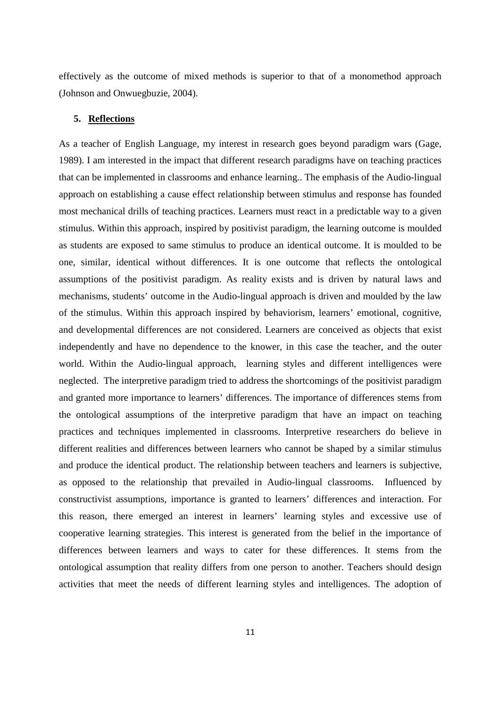effectively as the outcome of mixed methods is superior to that of a monomethod approach (Johnson and Onwuegbuzie, 2004).

# **5. Reflections**

As a teacher of English Language, my interest in research goes beyond paradigm wars (Gage, 1989). I am interested in the impact that different research paradigms have on teaching practices that can be implemented in classrooms and enhance learning.. The emphasis of the Audio-lingual approach on establishing a cause effect relationship between stimulus and response has founded most mechanical drills of teaching practices. Learners must react in a predictable way to a given stimulus. Within this approach, inspired by positivist paradigm, the learning outcome is moulded as students are exposed to same stimulus to produce an identical outcome. It is moulded to be one, similar, identical without differences. It is one outcome that reflects the ontological assumptions of the positivist paradigm. As reality exists and is driven by natural laws and mechanisms, students' outcome in the Audio-lingual approach is driven and moulded by the law of the stimulus. Within this approach inspired by behaviorism, learners' emotional, cognitive, and developmental differences are not considered. Learners are conceived as objects that exist independently and have no dependence to the knower, in this case the teacher, and the outer world. Within the Audio-lingual approach, learning styles and different intelligences were neglected. The interpretive paradigm tried to address the shortcomings of the positivist paradigm and granted more importance to learners' differences. The importance of differences stems from the ontological assumptions of the interpretive paradigm that have an impact on teaching practices and techniques implemented in classrooms. Interpretive researchers do believe in different realities and differences between learners who cannot be shaped by a similar stimulus and produce the identical product. The relationship between teachers and learners is subjective, as opposed to the relationship that prevailed in Audio-lingual classrooms. Influenced by constructivist assumptions, importance is granted to learners' differences and interaction. For this reason, there emerged an interest in learners' learning styles and excessive use of cooperative learning strategies. This interest is generated from the belief in the importance of differences between learners and ways to cater for these differences. It stems from the ontological assumption that reality differs from one person to another. Teachers should design activities that meet the needs of different learning styles and intelligences. The adoption of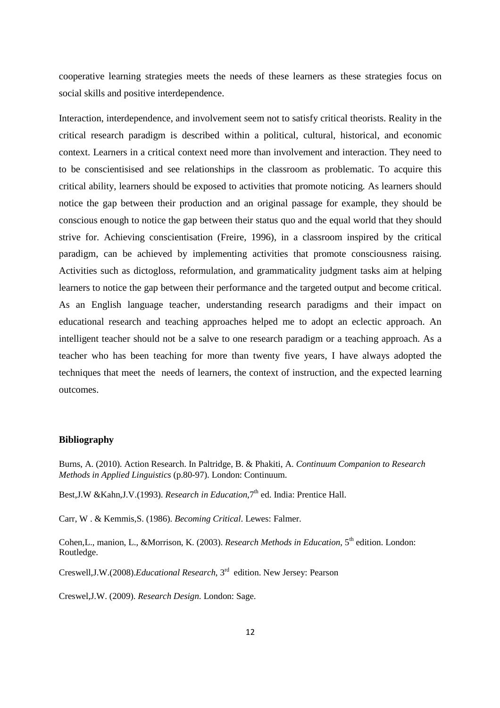cooperative learning strategies meets the needs of these learners as these strategies focus on social skills and positive interdependence.

Interaction, interdependence, and involvement seem not to satisfy critical theorists. Reality in the critical research paradigm is described within a political, cultural, historical, and economic context. Learners in a critical context need more than involvement and interaction. They need to to be conscientisised and see relationships in the classroom as problematic. To acquire this critical ability, learners should be exposed to activities that promote noticing. As learners should notice the gap between their production and an original passage for example, they should be conscious enough to notice the gap between their status quo and the equal world that they should strive for. Achieving conscientisation (Freire, 1996), in a classroom inspired by the critical paradigm, can be achieved by implementing activities that promote consciousness raising. Activities such as dictogloss, reformulation, and grammaticality judgment tasks aim at helping learners to notice the gap between their performance and the targeted output and become critical. As an English language teacher, understanding research paradigms and their impact on educational research and teaching approaches helped me to adopt an eclectic approach. An intelligent teacher should not be a salve to one research paradigm or a teaching approach. As a teacher who has been teaching for more than twenty five years, I have always adopted the techniques that meet the needs of learners, the context of instruction, and the expected learning outcomes.

# **Bibliography**

Burns, A. (2010). Action Research. In Paltridge, B. & Phakiti, A. *Continuum Companion to Research Methods in Applied Linguistics* (p.80-97). London: Continuum.

Best,J.W &Kahn,J.V.(1993). *Research in Education*,7<sup>th</sup> ed. India: Prentice Hall.

Carr, W . & Kemmis,S. (1986). *Becoming Critical*. Lewes: Falmer.

Cohen, L., manion, L., &Morrison, K. (2003). *Research Methods in Education*, 5<sup>th</sup> edition. London: Routledge.

Creswell,J.W.(2008).*Educational Research*, 3rd edition. New Jersey: Pearson

Creswel,J.W. (2009). *Research Design*. London: Sage.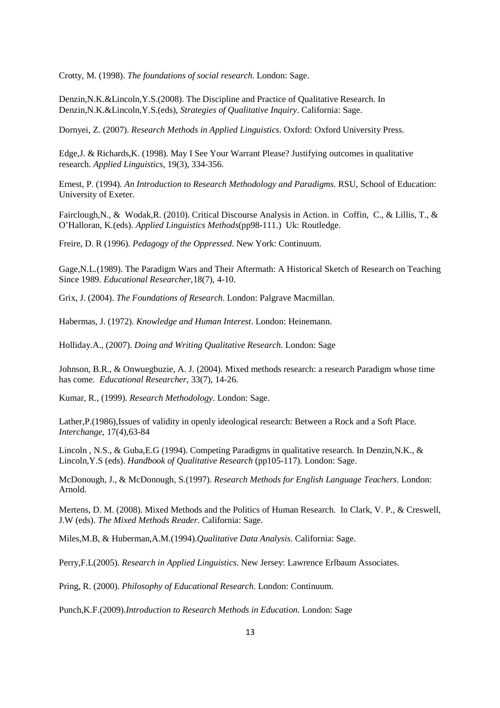Crotty, M. (1998). *The foundations of social research*. London: Sage.

Denzin,N.K.&Lincoln,Y.S.(2008). The Discipline and Practice of Qualitative Research. In Denzin,N.K.&Lincoln,Y.S.(eds), *Strategies of Qualitative Inquiry*. California: Sage.

Dornyei, Z. (2007). *Research Methods in Applied Linguistics*. Oxford: Oxford University Press.

Edge,J. & Richards,K. (1998). May I See Your Warrant Please? Justifying outcomes in qualitative research. *Applied Linguistics*, 19(3), 334-356.

Ernest, P. (1994). *An Introduction to Research Methodology and Paradigms*. RSU, School of Education: University of Exeter.

Fairclough,N., & Wodak,R. (2010). Critical Discourse Analysis in Action. in Coffin, C., & Lillis, T., & O'Halloran, K.(eds). *Applied Linguistics Methods*(pp98-111.) Uk: Routledge.

Freire, D. R (1996). *Pedagogy of the Oppressed*. New York: Continuum.

Gage,N.L.(1989). The Paradigm Wars and Their Aftermath: A Historical Sketch of Research on Teaching Since 1989. *Educational Researcher*,18(7), 4-10.

Grix, J. (2004). *The Foundations of Research*. London: Palgrave Macmillan.

Habermas, J. (1972). *Knowledge and Human Interest*. London: Heinemann.

Holliday.A., (2007). *Doing and Writing Qualitative Research*. London: Sage

Johnson, B.R., & Onwuegbuzie, A. J. (2004). Mixed methods research: a research Paradigm whose time has come. *Educational Researcher*, 33(7), 14-26.

Kumar, R., (1999). *Research Methodology*. London: Sage.

Lather,P.(1986),Issues of validity in openly ideological research: Between a Rock and a Soft Place. *Interchange*, 17(4),63-84

Lincoln , N.S., & Guba,E.G (1994). Competing Paradigms in qualitative research. In Denzin,N.K., & Lincoln,Y.S (eds). *Handbook of Qualitative Research* (pp105-117). London: Sage.

McDonough, J., & McDonough, S.(1997). *Research Methods for English Language Teachers*. London: Arnold.

Mertens, D. M. (2008). Mixed Methods and the Politics of Human Research. In Clark, V. P., & Creswell, J.W (eds). *The Mixed Methods Reader*. California: Sage.

Miles,M.B, & Huberman,A.M.(1994).*Qualitative Data Analysis*. California: Sage.

Perry,F.L(2005). *Research in Applied Linguistics*. New Jersey: Lawrence Erlbaum Associates.

Pring, R. (2000). *Philosophy of Educational Research*. London: Continuum.

Punch,K.F.(2009).*Introduction to Research Methods in Education*. London: Sage